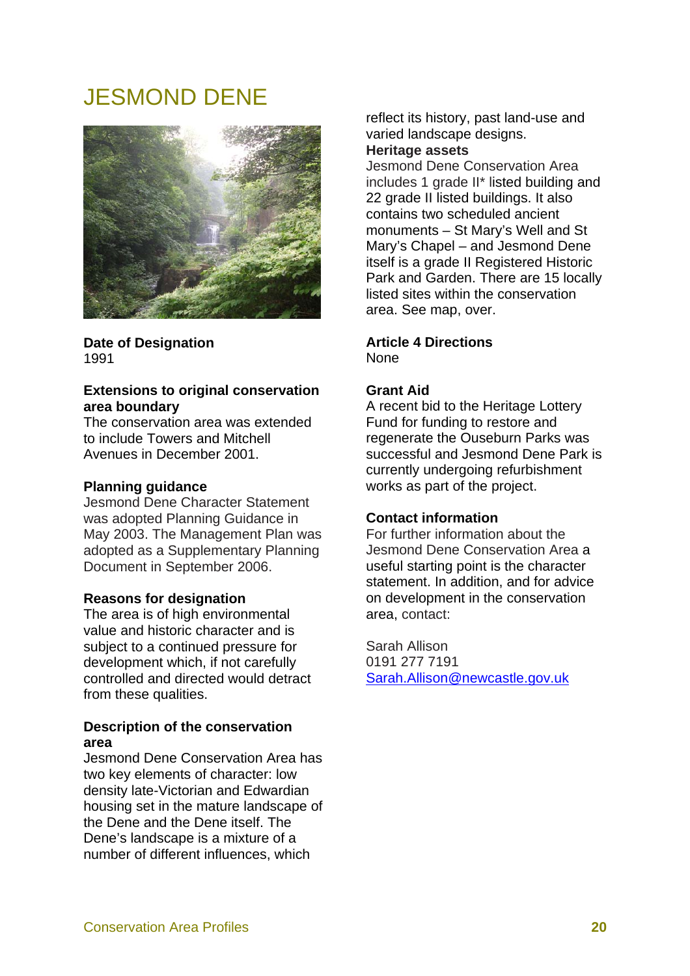# JESMOND DENE



**Date of Designation**  1991

## **Extensions to original conservation area boundary**

The conservation area was extended to include Towers and Mitchell Avenues in December 2001.

## **Planning guidance**

Jesmond Dene Character Statement was adopted Planning Guidance in May 2003. The Management Plan was adopted as a Supplementary Planning Document in September 2006.

#### **Reasons for designation**

The area is of high environmental value and historic character and is subject to a continued pressure for development which, if not carefully controlled and directed would detract from these qualities.

## **Description of the conservation area**

Jesmond Dene Conservation Area has two key elements of character: low density late-Victorian and Edwardian housing set in the mature landscape of the Dene and the Dene itself. The Dene's landscape is a mixture of a number of different influences, which

reflect its history, past land-use and varied landscape designs.

# **Heritage assets**

Jesmond Dene Conservation Area includes 1 grade II\* listed building and 22 grade II listed buildings. It also contains two scheduled ancient monuments – St Mary's Well and St Mary's Chapel – and Jesmond Dene itself is a grade II Registered Historic Park and Garden. There are 15 locally listed sites within the conservation area. See map, over.

#### **Article 4 Directions**  None

# **Grant Aid**

A recent bid to the Heritage Lottery Fund for funding to restore and regenerate the Ouseburn Parks was successful and Jesmond Dene Park is currently undergoing refurbishment works as part of the project.

#### **Contact information**

For further information about the Jesmond Dene Conservation Area a useful starting point is the character statement. In addition, and for advice on development in the conservation area, contact:

Sarah Allison 0191 277 7191 Sarah.Allison@newcastle.gov.uk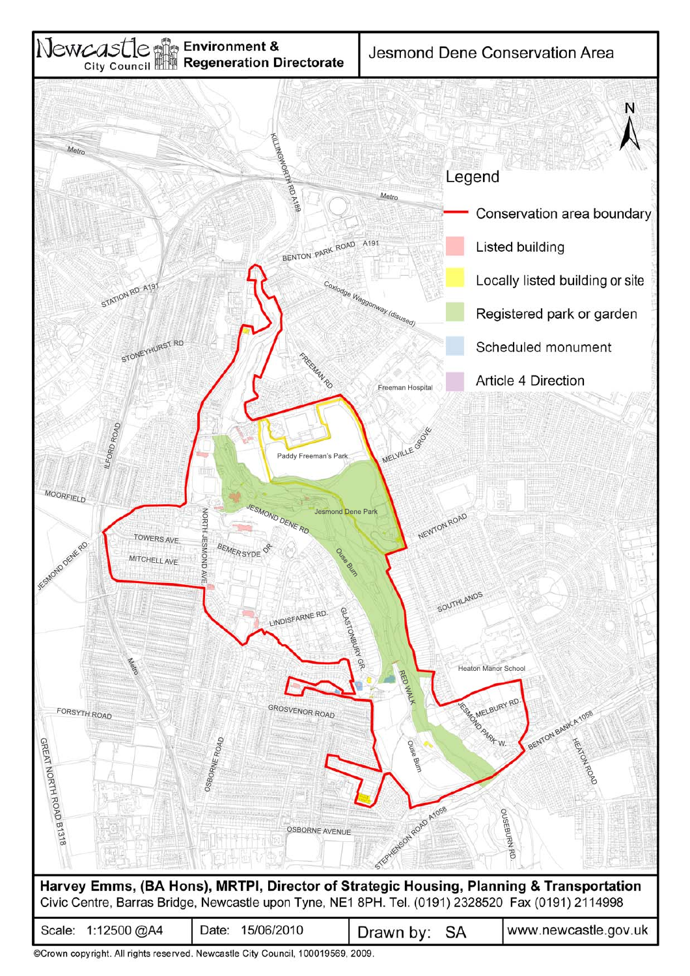

©Crown copyright. All rights reserved. Newcastle City Council, 100019569, 2009.